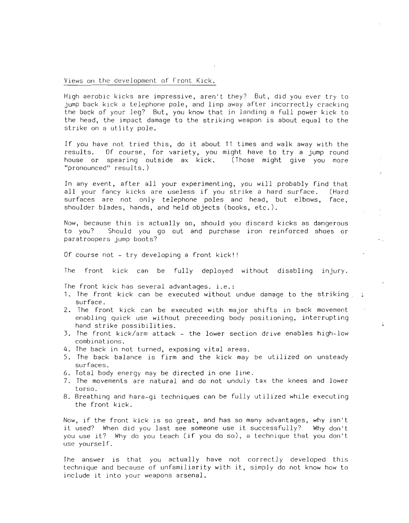Views on the development of Front Kick.

High aerobic kicks are impressive, aren't they? But, did you ever try to jump back kick a telephone pole, and limp away after incorrectly cracking the back of your leg? But, you know that in landing a full power kick to the head, the impact damage to the striking weapon is about equal to the strike on a utlity pole.

If you have not tried this, do it about <sup>11</sup> times and walk away with the results. Of course, for variety, you might have to try. a jump round house or spearing outside ax kick. (Those might give you more "pronounced" results.)

In any event, after all your experimenting, you will probably find that all your fancy kicks are useless if you strike <sup>a</sup> hard surface. (Hard surfaces are not only telephone poles and head, but elbows, face, shoulder blades, hands, and held objects (books, etc.).

Now, because this is actually so, should you discard kicks as dangerous to you? Should you go out and purchase iron reinforced shoes or paratroopers jump boots?

Of course not - try developing a front kick!'

The front kick can be fully deployed without disabling injury.

The front kick has several advantages. *i.e.:*

- 1. The front kick can be executed without undue damage to the striking surface.
- 2. The front kick can be executed with major shifts in back movement enabling quick use without preceeding body positioning, interrupting hand strike possibilities.
- 3. The front kick/arm attack the lower section drive enables high-low combinations.
- 4. The back in not turned, exposing vital areas.
- 5. The back balance is firm and the kick may be utilized on unsteady surfaces.
- 6. Total body energy may be directed in one line.
- 7. The movements are natural and do not unduly tax the knees and lower torso.
- 8. Breathing and hara-gi techniques can be fully utilized while executing the front kick.

Now, if the front kick is so great, and has so many advantages, why isn't it used? When did you last see someone use it successfully? Why don't you use it? Why do you teach (if you do so), <sup>a</sup> technique that you don't use yourself.

The answer is that you actually have not correctly developed this technique and because of unfamiliarity with it, simply do not know how to include it into your weapons arsenal.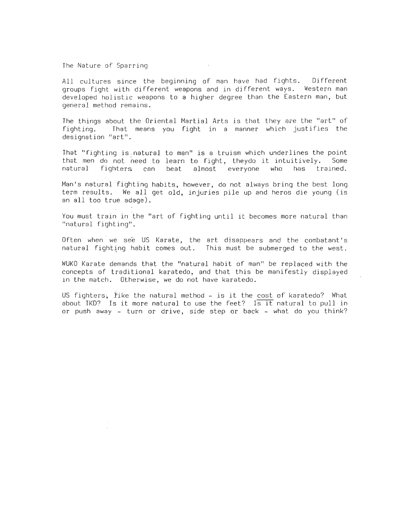The Nature of Sparring

All cultures since the beginning of man have had fights. Different groups fight with different weapons and in different ways. Western man developed holistic weapons to a higher degree than the Eastern man, but general method remains.

The things about the Oriental Martial Arts is that they are the "art" of fighting. That means you fight in a manner which justifies the designation "art".

That "fighting is~natural to man" is a truism which underlines the point that men do not need to learn to fight, theydo it intuitively. Some<br>natural fighters can beat almost everyone who has trained. everyone

Man's natural fighting habits, however, do not always bring the best long term results. We all get old, injuries pile up and heros die young (is an all too true adage).

You must train in the "art of fighting until it becomes more natural than "natural fighting".

Often when we see US Karate, the art disappears and the combatant's natural fighting habit comes out. This must be submerged to the west.

WUKO Karate demands that the "natural habit of man" be replaced with the concepts of traditional karatedo, and that this be manifestly displayed in the match. Otherwise, we do not have karatedo.

US fighters, iike the natural method - is it the cost of karatedo? What about  $TKD$ ? Is it more natural to use the feet? Is it natural to pull in or push away - turn or drive, side step or back - what do you think?